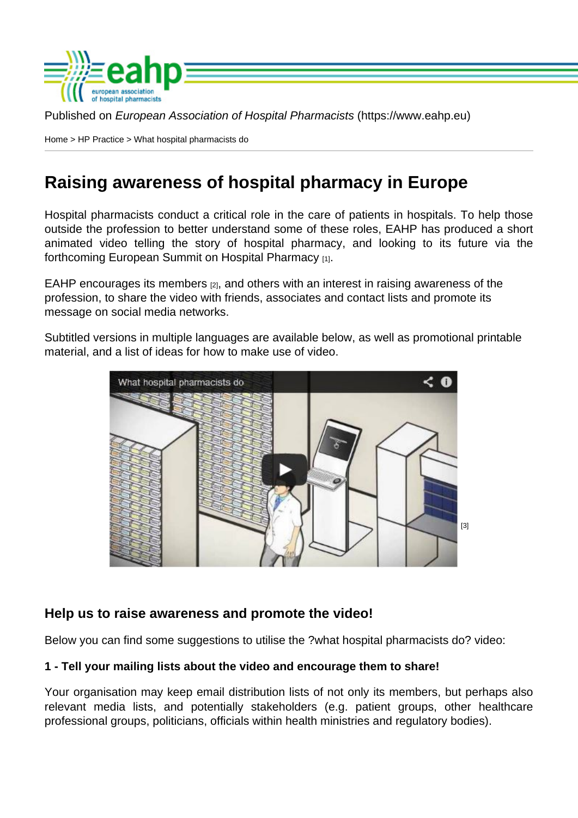Published on European Association of Hospital Pharmacists (https://www.eahp.eu)

Home > HP Practice > What hospital pharmacists do

# [Rai](https://www.eahp.eu/)[sing aw](https://www.eahp.eu/hp-practice/hospital-pharmacy)areness of hospital pharmacy in Europe

Hospital pharmacists conduct a critical role in the care of patients in hospitals. To help those outside the profession to better understand some of these roles, EAHP has produced a short animated video telling the story of hospital pharmacy, and looking to its future via the forthcoming European Summit on Hospital Pharmacy [1].

EAHP encourages its members  $[2]$ , and others with an interest in raising awareness of the profession, t[o share the video with friends, associates](http://www.eahp.eu/events/european-summit/intro) and contact lists and promote its message on social media networks.

Subtitled versions in [multiple lan](http://www.eahp.eu/about-us/members)guages are available below, as well as promotional printable material, and a list of ideas for how to make use of video.

[3]

Help us to [raise awareness and promote the video!](http://youtu.be/l6Nzmd7oZlM)

Below you can find some suggestions to utilise the ?what hospital pharmacists do? video:

1 - Tell your mailing lists about the video and encourage them to share!

Your organisation may keep email distribution lists of not only its members, but perhaps also relevant media lists, and potentially stakeholders (e.g. patient groups, other healthcare professional groups, politicians, officials within health ministries and regulatory bodies).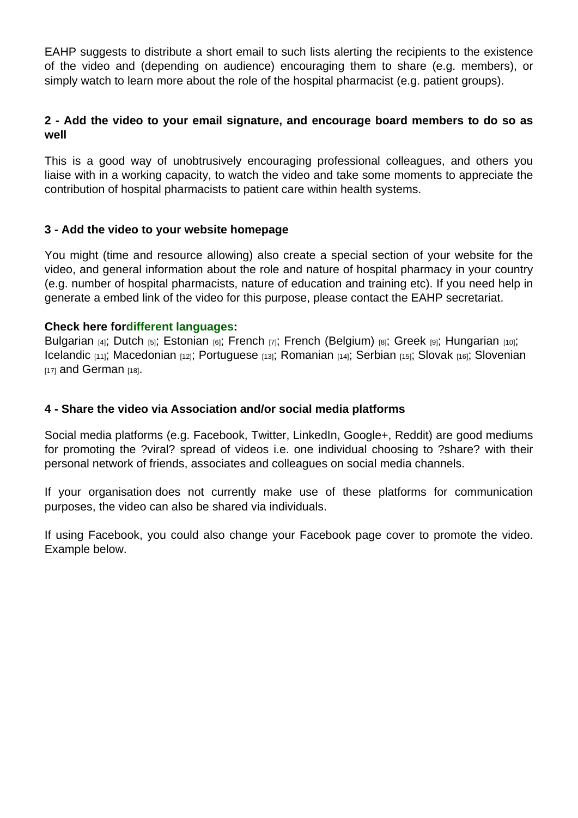EAHP suggests to distribute a short email to such lists alerting the recipients to the existence of the video and (depending on audience) encouraging them to share (e.g. members), or simply watch to learn more about the role of the hospital pharmacist (e.g. patient groups).

2 - Add the video to your email signature, and encourage board members to do so as well

This is a good way of unobtrusively encouraging professional colleagues, and others you liaise with in a working capacity, to watch the video and take some moments to appreciate the contribution of hospital pharmacists to patient care within health systems.

### 3 - Add the video to your website homepage

You might (time and resource allowing) also create a special section of your website for the video, and general information about the role and nature of hospital pharmacy in your country (e.g. number of hospital pharmacists, nature of education and training etc). If you need help in generate a embed link of the video for this purpose, please contact the EAHP secretariat.

#### Check here for different languages :

Bulgarian [4]; Dutch [5]; Estonian [6]; French [7]; French (Belgium) [8]; Greek [9]; Hungarian [10]; Icelandic [11]; Macedonian [12]; Portuguese [13]; Romanian [14]; Serbian [15]; Slovak [16]; Slovenian  $[17]$  and German  $[18]$ .

#### [4 - Shar](http://youtu.be/lytOyYGtB6Q)[e the](http://youtu.be/NO6z4vQ7n5U) [video via As](http://youtu.be/QRqvfPwy0vQ)soci[ation and/or](http://youtu.be/YJPA8llkBpQ) so[cial media p](http://youtu.be/fM5tsLJ7-Tg)latf[orms](http://youtu.be/QBgEykNoxVA)

Social media platforms (e.g. Facebook, Twitter, LinkedIn, Google+, Reddit) are good mediums for promoting the ?viral? spread of videos i.e. one individual choosing to ?share? with their personal network of friends, associates and colleagues on social media channels.

If your organisation does not currently make use of these platforms for communication purposes, the video can also be shared via individuals.

If using Facebook, you could also change your Facebook page cover to promote the video. Example below.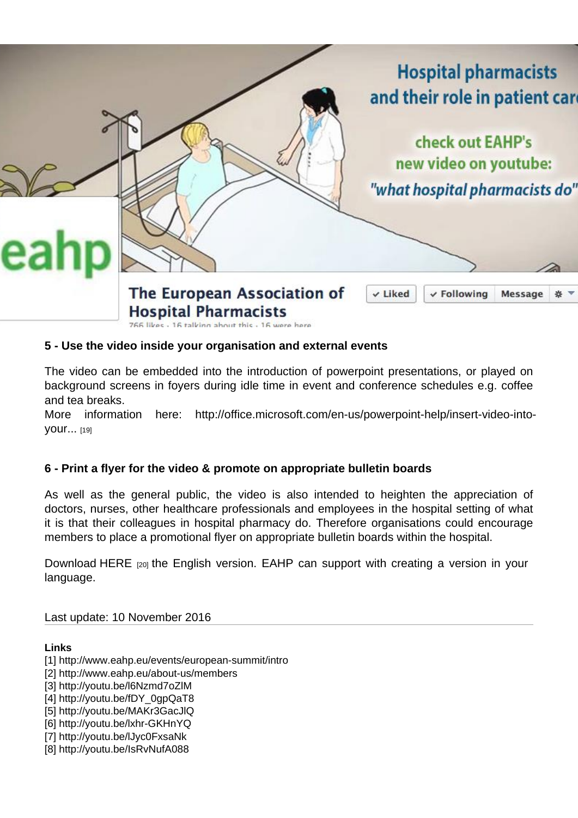5 - Use the video inside your organisation and external events

The video can be embedded into the introduction of powerpoint presentations, or played on background screens in foyers during idle time in event and conference schedules e.g. coffee and tea breaks.

More information here: http://office.microsoft.com/en-us/powerpoint-help/insert-video-intoyour... [19]

## [6 - Prin](http://office.microsoft.com/en-us/powerpoint-help/insert-video-into-your-presentation-RZ102673174.aspx)t a flyer for the video [& promote on appropriate bulletin boards](http://office.microsoft.com/en-us/powerpoint-help/insert-video-into-your-presentation-RZ102673174.aspx)

As well as the general public, the video is also intended to heighten the appreciation of doctors, nurses, other healthcare professionals and employees in the hospital setting of what it is that their colleagues in hospital pharmacy do. Therefore organisations could encourage members to place a promotional flyer on appropriate bulletin boards within the hospital.

Download HERE [20] the English version. EAHP can support with creating a version in your language.

Last updat[e: 10 N](https://www.eahp.eu/sites/default/files/files/flyer HP (video)(1).pdf)ovember 2016

Links

- [1] http://www.eahp.eu/events/european-summit/intro
- [2] http://www.eahp.eu/about-us/members
- [3] http://youtu.be/l6Nzmd7oZlM
- [4] http://youtu.be/fDY\_0gpQaT8
- [5] http://youtu.be/MAKr3GacJlQ
- [6] http://youtu.be/lxhr-GKHnYQ
- [7] http://youtu.be/lJyc0FxsaNk
- [8] http://youtu.be/IsRvNufA088